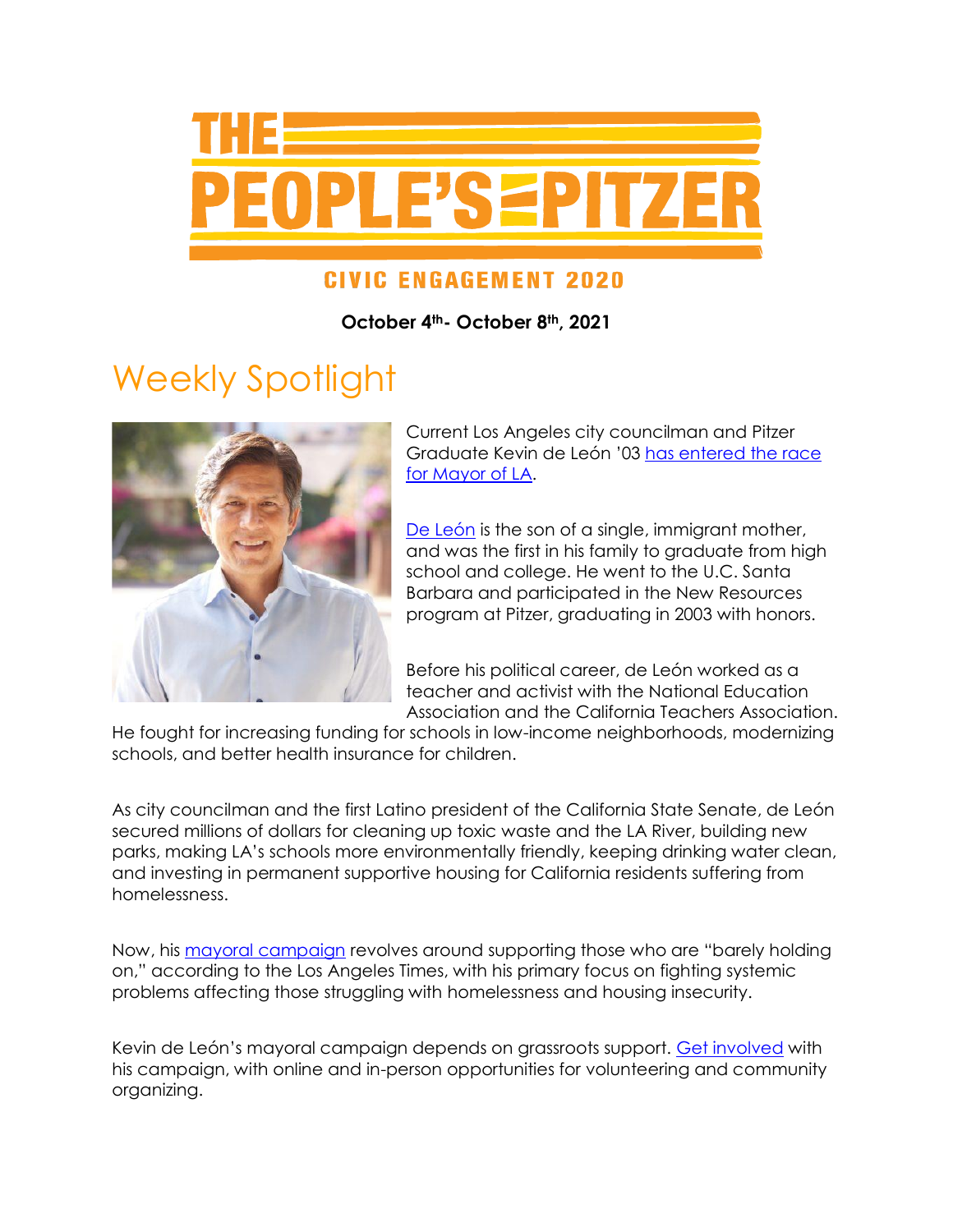

#### **CIVIC ENGAGEMENT 2020**

**October 4th- October 8th, 2021**

# Weekly Spotlight



Current Los Angeles city councilman and Pitzer Graduate Kevin de León '03 [has entered the race](https://www.pitzer.edu/communications/2021/09/24/pitzer-college-graduate-and-political-leader-kevin-de-leon-03-enters-los-angeles-mayors-race/)  [for Mayor of LA.](https://www.pitzer.edu/communications/2021/09/24/pitzer-college-graduate-and-political-leader-kevin-de-leon-03-enters-los-angeles-mayors-race/)

[De León](https://councildistrict14.com/about/kevin) is the son of a single, immigrant mother, and was the first in his family to graduate from high school and college. He went to the U.C. Santa Barbara and participated in the New Resources program at Pitzer, graduating in 2003 with honors.

Before his political career, de León worked as a teacher and activist with the National Education Association and the California Teachers Association.

He fought for increasing funding for schools in low-income neighborhoods, modernizing schools, and better health insurance for children.

As city councilman and the first Latino president of the California State Senate, de León secured millions of dollars for cleaning up toxic waste and the LA River, building new parks, making LA's schools more environmentally friendly, keeping drinking water clean, and investing in permanent supportive housing for California residents suffering from homelessness.

Now, his [mayoral campaign](https://www.kevindeleon.com/meet-kevin/) revolves around supporting those who are "barely holding on," according to the Los Angeles Times, with his primary focus on fighting systemic problems affecting those struggling with homelessness and housing insecurity.

Kevin de León's mayoral campaign depends on grassroots support. [Get involved](https://www.kevindeleon.com/get-involved/) with his campaign, with online and in-person opportunities for volunteering and community organizing.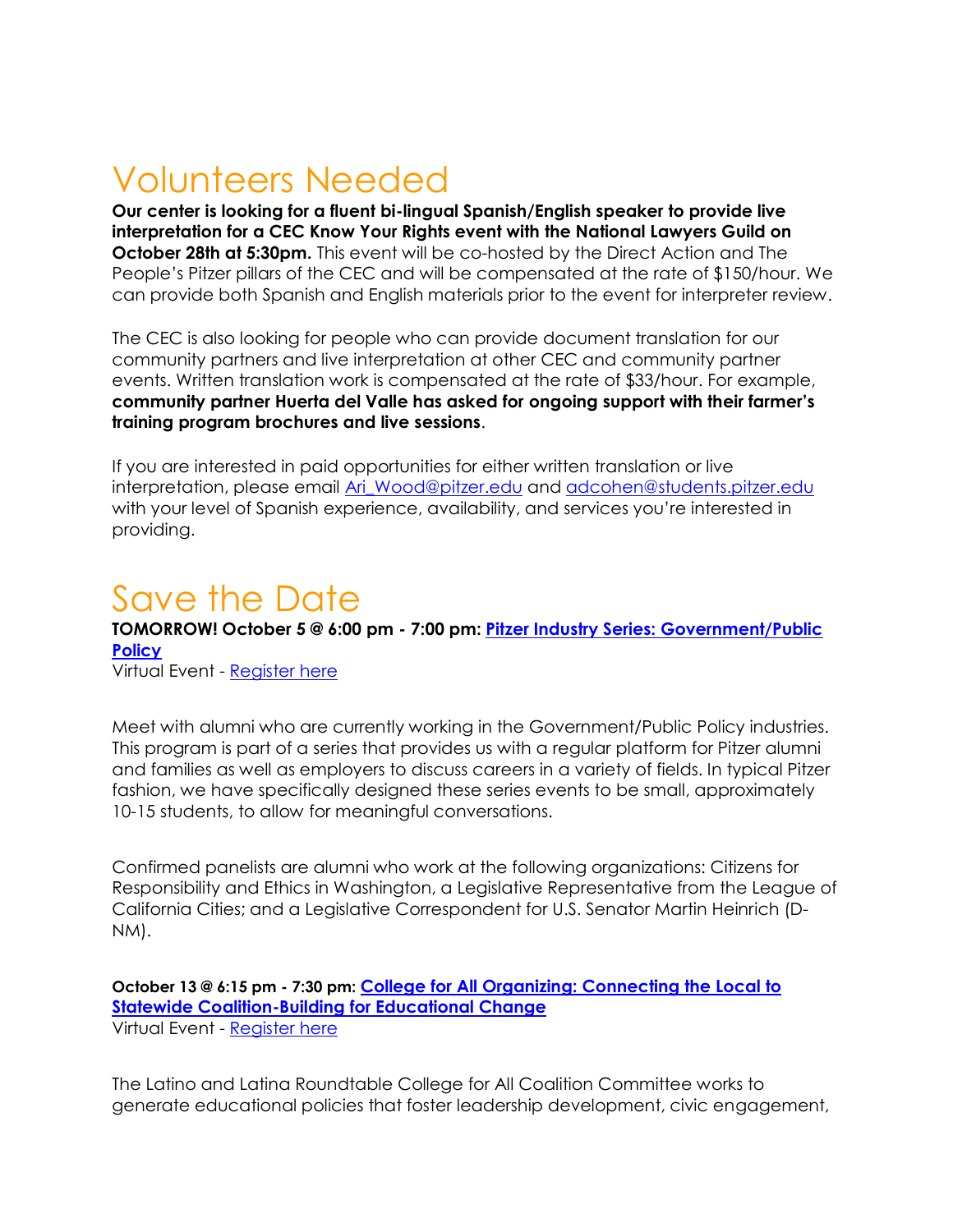## Volunteers Needed

**Our center is looking for a fluent bi-lingual Spanish/English speaker to provide live interpretation for a CEC Know Your Rights event with the National Lawyers Guild on October 28th at 5:30pm.** This event will be co-hosted by the Direct Action and The People's Pitzer pillars of the CEC and will be compensated at the rate of \$150/hour. We can provide both Spanish and English materials prior to the event for interpreter review.

The CEC is also looking for people who can provide document translation for our community partners and live interpretation at other CEC and community partner events. Written translation work is compensated at the rate of \$33/hour. For example, **community partner Huerta del Valle has asked for ongoing support with their farmer's training program brochures and live sessions**.

If you are interested in paid opportunities for either written translation or live interpretation, please email Ari Wood@pitzer.edu and [adcohen@students.pitzer.edu](mailto:adcohen@students.pitzer.edu) with your level of Spanish experience, availability, and services you're interested in providing.

#### Save the Date

**TOMORROW! October 5 @ 6:00 pm - 7:00 pm: [Pitzer Industry Series: Government/Public](https://www.pitzer.edu/event/pitzer-industry-series-government-public-policy/)  [Policy](https://www.pitzer.edu/event/pitzer-industry-series-government-public-policy/)**

Virtual Event - [Register here](https://app.joinhandshake.com/events/830760?mass_email_id=943074&lor=1&utm_source=mass_mailer&utm_medium=email&utm_content=943074&utm_campaign=uni_targeted_emails)

Meet with alumni who are currently working in the Government/Public Policy industries. This program is part of a series that provides us with a regular platform for Pitzer alumni and families as well as employers to discuss careers in a variety of fields. In typical Pitzer fashion, we have specifically designed these series events to be small, approximately 10-15 students, to allow for meaningful conversations.

Confirmed panelists are alumni who work at the following organizations: Citizens for Responsibility and Ethics in Washington, a Legislative Representative from the League of California Cities; and a Legislative Correspondent for U.S. Senator Martin Heinrich (D-NM).

**October 13 @ 6:15 pm - 7:30 pm: [College for All Organizing: Connecting the Local to](https://drive.google.com/file/d/1A0I0VIOfjp-YbkdQxAdr05-Ed3vWnnz5/view)  [Statewide Coalition-Building for Educational Change](https://drive.google.com/file/d/1A0I0VIOfjp-YbkdQxAdr05-Ed3vWnnz5/view)** Virtual Event - [Register here](https://pitzer.zoom.us/meeting/register/tZMkfumrrTsiHtUh88HfIDpt9v-Qlo56Fenk)

The Latino and Latina Roundtable College for All Coalition Committee works to generate educational policies that foster leadership development, civic engagement,